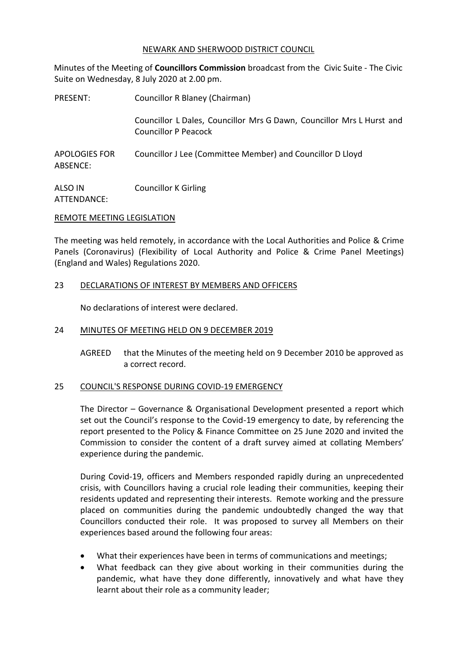# NEWARK AND SHERWOOD DISTRICT COUNCIL

Minutes of the Meeting of **Councillors Commission** broadcast from the Civic Suite - The Civic Suite on Wednesday, 8 July 2020 at 2.00 pm.

| PRESENT:                         | Councillor R Blaney (Chairman)                                                                       |
|----------------------------------|------------------------------------------------------------------------------------------------------|
|                                  | Councillor L Dales, Councillor Mrs G Dawn, Councillor Mrs L Hurst and<br><b>Councillor P Peacock</b> |
| <b>APOLOGIES FOR</b><br>ABSENCE: | Councillor J Lee (Committee Member) and Councillor D Lloyd                                           |
| ALSO IN                          | <b>Councillor K Girling</b>                                                                          |

ATTENDANCE:

### REMOTE MEETING LEGISLATION

The meeting was held remotely, in accordance with the Local Authorities and Police & Crime Panels (Coronavirus) (Flexibility of Local Authority and Police & Crime Panel Meetings) (England and Wales) Regulations 2020.

# 23 DECLARATIONS OF INTEREST BY MEMBERS AND OFFICERS

No declarations of interest were declared.

# 24 MINUTES OF MEETING HELD ON 9 DECEMBER 2019

AGREED that the Minutes of the meeting held on 9 December 2010 be approved as a correct record.

# 25 COUNCIL'S RESPONSE DURING COVID-19 EMERGENCY

The Director – Governance & Organisational Development presented a report which set out the Council's response to the Covid-19 emergency to date, by referencing the report presented to the Policy & Finance Committee on 25 June 2020 and invited the Commission to consider the content of a draft survey aimed at collating Members' experience during the pandemic.

During Covid-19, officers and Members responded rapidly during an unprecedented crisis, with Councillors having a crucial role leading their communities, keeping their residents updated and representing their interests. Remote working and the pressure placed on communities during the pandemic undoubtedly changed the way that Councillors conducted their role. It was proposed to survey all Members on their experiences based around the following four areas:

- What their experiences have been in terms of communications and meetings;
- What feedback can they give about working in their communities during the pandemic, what have they done differently, innovatively and what have they learnt about their role as a community leader;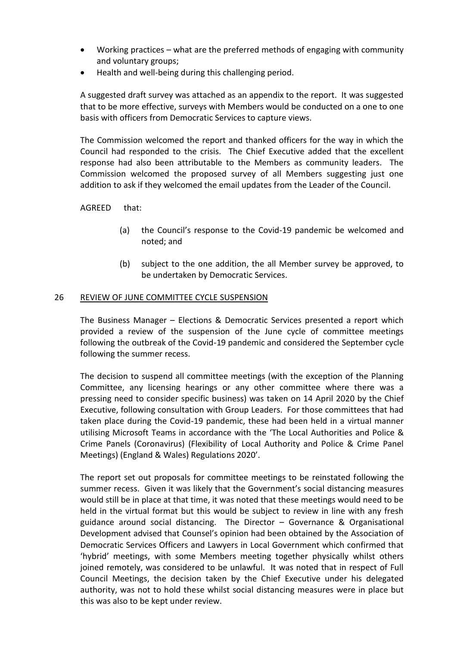- Working practices what are the preferred methods of engaging with community and voluntary groups;
- Health and well-being during this challenging period.

A suggested draft survey was attached as an appendix to the report. It was suggested that to be more effective, surveys with Members would be conducted on a one to one basis with officers from Democratic Services to capture views.

The Commission welcomed the report and thanked officers for the way in which the Council had responded to the crisis. The Chief Executive added that the excellent response had also been attributable to the Members as community leaders. The Commission welcomed the proposed survey of all Members suggesting just one addition to ask if they welcomed the email updates from the Leader of the Council.

AGREED that:

- (a) the Council's response to the Covid-19 pandemic be welcomed and noted; and
- (b) subject to the one addition, the all Member survey be approved, to be undertaken by Democratic Services.

### 26 REVIEW OF JUNE COMMITTEE CYCLE SUSPENSION

The Business Manager – Elections & Democratic Services presented a report which provided a review of the suspension of the June cycle of committee meetings following the outbreak of the Covid-19 pandemic and considered the September cycle following the summer recess.

The decision to suspend all committee meetings (with the exception of the Planning Committee, any licensing hearings or any other committee where there was a pressing need to consider specific business) was taken on 14 April 2020 by the Chief Executive, following consultation with Group Leaders. For those committees that had taken place during the Covid-19 pandemic, these had been held in a virtual manner utilising Microsoft Teams in accordance with the 'The Local Authorities and Police & Crime Panels (Coronavirus) (Flexibility of Local Authority and Police & Crime Panel Meetings) (England & Wales) Regulations 2020'.

The report set out proposals for committee meetings to be reinstated following the summer recess. Given it was likely that the Government's social distancing measures would still be in place at that time, it was noted that these meetings would need to be held in the virtual format but this would be subject to review in line with any fresh guidance around social distancing. The Director – Governance & Organisational Development advised that Counsel's opinion had been obtained by the Association of Democratic Services Officers and Lawyers in Local Government which confirmed that 'hybrid' meetings, with some Members meeting together physically whilst others joined remotely, was considered to be unlawful. It was noted that in respect of Full Council Meetings, the decision taken by the Chief Executive under his delegated authority, was not to hold these whilst social distancing measures were in place but this was also to be kept under review.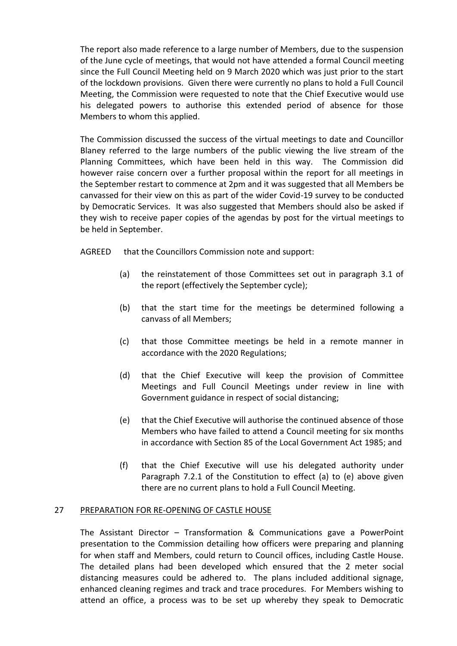The report also made reference to a large number of Members, due to the suspension of the June cycle of meetings, that would not have attended a formal Council meeting since the Full Council Meeting held on 9 March 2020 which was just prior to the start of the lockdown provisions. Given there were currently no plans to hold a Full Council Meeting, the Commission were requested to note that the Chief Executive would use his delegated powers to authorise this extended period of absence for those Members to whom this applied.

The Commission discussed the success of the virtual meetings to date and Councillor Blaney referred to the large numbers of the public viewing the live stream of the Planning Committees, which have been held in this way. The Commission did however raise concern over a further proposal within the report for all meetings in the September restart to commence at 2pm and it was suggested that all Members be canvassed for their view on this as part of the wider Covid-19 survey to be conducted by Democratic Services. It was also suggested that Members should also be asked if they wish to receive paper copies of the agendas by post for the virtual meetings to be held in September.

AGREED that the Councillors Commission note and support:

- (a) the reinstatement of those Committees set out in paragraph 3.1 of the report (effectively the September cycle);
- (b) that the start time for the meetings be determined following a canvass of all Members;
- (c) that those Committee meetings be held in a remote manner in accordance with the 2020 Regulations;
- (d) that the Chief Executive will keep the provision of Committee Meetings and Full Council Meetings under review in line with Government guidance in respect of social distancing;
- (e) that the Chief Executive will authorise the continued absence of those Members who have failed to attend a Council meeting for six months in accordance with Section 85 of the Local Government Act 1985; and
- (f) that the Chief Executive will use his delegated authority under Paragraph 7.2.1 of the Constitution to effect (a) to (e) above given there are no current plans to hold a Full Council Meeting.

# 27 PREPARATION FOR RE-OPENING OF CASTLE HOUSE

The Assistant Director – Transformation & Communications gave a PowerPoint presentation to the Commission detailing how officers were preparing and planning for when staff and Members, could return to Council offices, including Castle House. The detailed plans had been developed which ensured that the 2 meter social distancing measures could be adhered to. The plans included additional signage, enhanced cleaning regimes and track and trace procedures. For Members wishing to attend an office, a process was to be set up whereby they speak to Democratic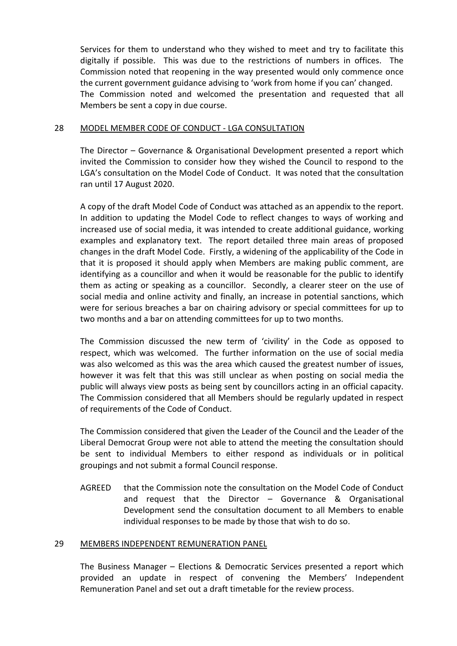Services for them to understand who they wished to meet and try to facilitate this digitally if possible. This was due to the restrictions of numbers in offices. The Commission noted that reopening in the way presented would only commence once the current government guidance advising to 'work from home if you can' changed. The Commission noted and welcomed the presentation and requested that all Members be sent a copy in due course.

# 28 MODEL MEMBER CODE OF CONDUCT - LGA CONSULTATION

The Director – Governance & Organisational Development presented a report which invited the Commission to consider how they wished the Council to respond to the LGA's consultation on the Model Code of Conduct. It was noted that the consultation ran until 17 August 2020.

A copy of the draft Model Code of Conduct was attached as an appendix to the report. In addition to updating the Model Code to reflect changes to ways of working and increased use of social media, it was intended to create additional guidance, working examples and explanatory text. The report detailed three main areas of proposed changes in the draft Model Code. Firstly, a widening of the applicability of the Code in that it is proposed it should apply when Members are making public comment, are identifying as a councillor and when it would be reasonable for the public to identify them as acting or speaking as a councillor. Secondly, a clearer steer on the use of social media and online activity and finally, an increase in potential sanctions, which were for serious breaches a bar on chairing advisory or special committees for up to two months and a bar on attending committees for up to two months.

The Commission discussed the new term of 'civility' in the Code as opposed to respect, which was welcomed. The further information on the use of social media was also welcomed as this was the area which caused the greatest number of issues, however it was felt that this was still unclear as when posting on social media the public will always view posts as being sent by councillors acting in an official capacity. The Commission considered that all Members should be regularly updated in respect of requirements of the Code of Conduct.

The Commission considered that given the Leader of the Council and the Leader of the Liberal Democrat Group were not able to attend the meeting the consultation should be sent to individual Members to either respond as individuals or in political groupings and not submit a formal Council response.

AGREED that the Commission note the consultation on the Model Code of Conduct and request that the Director – Governance & Organisational Development send the consultation document to all Members to enable individual responses to be made by those that wish to do so.

### 29 MEMBERS INDEPENDENT REMUNERATION PANEL

The Business Manager – Elections & Democratic Services presented a report which provided an update in respect of convening the Members' Independent Remuneration Panel and set out a draft timetable for the review process.